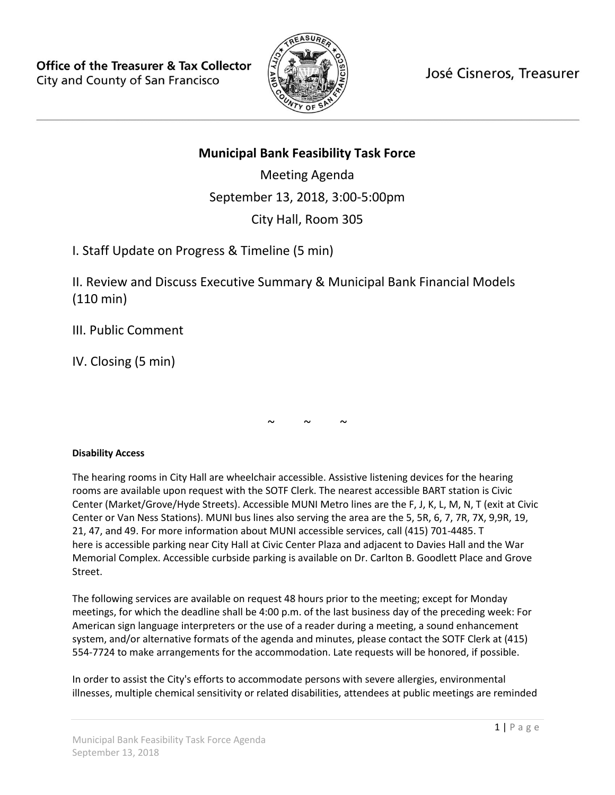

José Cisneros, Treasurer

# **Municipal Bank Feasibility Task Force**

Meeting Agenda September 13, 2018, 3:00-5:00pm City Hall, Room 305

I. Staff Update on Progress & Timeline (5 min)

II. Review and Discuss Executive Summary & Municipal Bank Financial Models (110 min)

III. Public Comment

IV. Closing (5 min)

 $\sim$   $\sim$   $\sim$ 

## **Disability Access**

The hearing rooms in City Hall are wheelchair accessible. Assistive listening devices for the hearing rooms are available upon request with the SOTF Clerk. The nearest accessible BART station is Civic Center (Market/Grove/Hyde Streets). Accessible MUNI Metro lines are the F, J, K, L, M, N, T (exit at Civic Center or Van Ness Stations). MUNI bus lines also serving the area are the 5, 5R, 6, 7, 7R, 7X, 9,9R, 19, 21, 47, and 49. For more information about MUNI accessible services, call (415) 701-4485. T here is accessible parking near City Hall at Civic Center Plaza and adjacent to Davies Hall and the War Memorial Complex. Accessible curbside parking is available on Dr. Carlton B. Goodlett Place and Grove Street.

The following services are available on request 48 hours prior to the meeting; except for Monday meetings, for which the deadline shall be 4:00 p.m. of the last business day of the preceding week: For American sign language interpreters or the use of a reader during a meeting, a sound enhancement system, and/or alternative formats of the agenda and minutes, please contact the SOTF Clerk at (415) 554-7724 to make arrangements for the accommodation. Late requests will be honored, if possible.

In order to assist the City's efforts to accommodate persons with severe allergies, environmental illnesses, multiple chemical sensitivity or related disabilities, attendees at public meetings are reminded